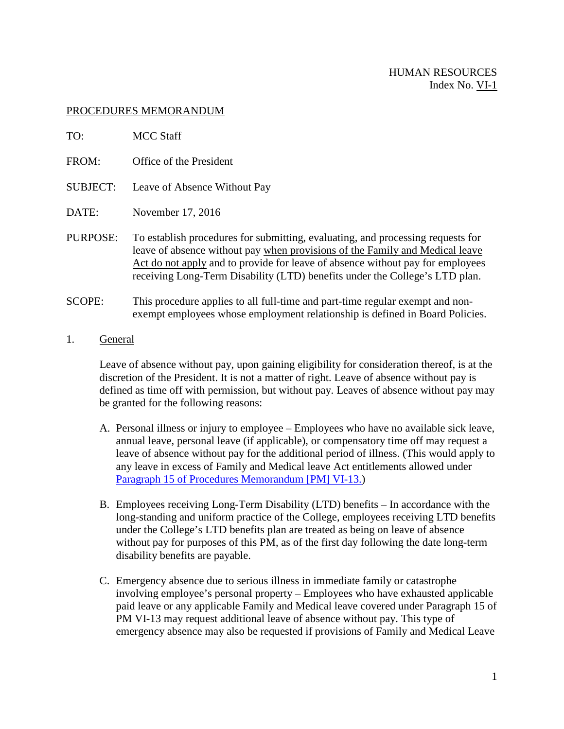## PROCEDURES MEMORANDUM

| TO:      | <b>MCC Staff</b>                                                                                                                                                                                                                                                                                                                 |
|----------|----------------------------------------------------------------------------------------------------------------------------------------------------------------------------------------------------------------------------------------------------------------------------------------------------------------------------------|
| FROM:    | Office of the President                                                                                                                                                                                                                                                                                                          |
| SUBJECT: | Leave of Absence Without Pay                                                                                                                                                                                                                                                                                                     |
| DATE:    | November 17, 2016                                                                                                                                                                                                                                                                                                                |
| PURPOSE: | To establish procedures for submitting, evaluating, and processing requests for<br>leave of absence without pay when provisions of the Family and Medical leave<br>Act do not apply and to provide for leave of absence without pay for employees<br>receiving Long-Term Disability (LTD) benefits under the College's LTD plan. |
|          |                                                                                                                                                                                                                                                                                                                                  |

- SCOPE: This procedure applies to all full-time and part-time regular exempt and nonexempt employees whose employment relationship is defined in Board Policies.
- 1. General

Leave of absence without pay, upon gaining eligibility for consideration thereof, is at the discretion of the President. It is not a matter of right. Leave of absence without pay is defined as time off with permission, but without pay. Leaves of absence without pay may be granted for the following reasons:

- A. Personal illness or injury to employee Employees who have no available sick leave, annual leave, personal leave (if applicable), or compensatory time off may request a leave of absence without pay for the additional period of illness. (This would apply to any leave in excess of Family and Medical leave Act entitlements allowed under Paragraph 15 of Procedures Memorandum [PM] VI-13.)
- B. Employees receiving Long-Term Disability (LTD) benefits In accordance with the long-standing and uniform practice of the College, employees receiving LTD benefits under the College's LTD benefits plan are treated as being on leave of absence without pay for purposes of this PM, as of the first day following the date long-term disability benefits are payable.
- C. Emergency absence due to serious illness in immediate family or catastrophe involving employee's personal property – Employees who have exhausted applicable paid leave or any applicable Family and Medical leave covered under Paragraph 15 of PM VI-13 may request additional leave of absence without pay. This type of emergency absence may also be requested if provisions of Family and Medical Leave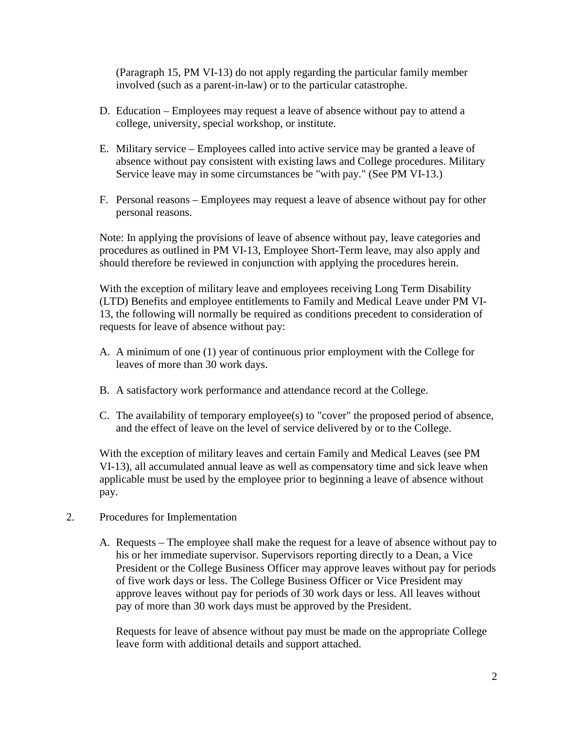(Paragraph 15, PM VI-13) do not apply regarding the particular family member involved (such as a parent-in-law) or to the particular catastrophe.

- D. Education Employees may request a leave of absence without pay to attend a college, university, special workshop, or institute.
- E. Military service Employees called into active service may be granted a leave of absence without pay consistent with existing laws and College procedures. Military Service leave may in some circumstances be "with pay." (See PM VI-13.)
- F. Personal reasons Employees may request a leave of absence without pay for other personal reasons.

Note: In applying the provisions of leave of absence without pay, leave categories and procedures as outlined in PM VI-13, Employee Short-Term leave, may also apply and should therefore be reviewed in conjunction with applying the procedures herein.

With the exception of military leave and employees receiving Long Term Disability (LTD) Benefits and employee entitlements to Family and Medical Leave under PM VI-13, the following will normally be required as conditions precedent to consideration of requests for leave of absence without pay:

- A. A minimum of one (1) year of continuous prior employment with the College for leaves of more than 30 work days.
- B. A satisfactory work performance and attendance record at the College.
- C. The availability of temporary employee(s) to "cover" the proposed period of absence, and the effect of leave on the level of service delivered by or to the College.

With the exception of military leaves and certain Family and Medical Leaves (see PM VI-13), all accumulated annual leave as well as compensatory time and sick leave when applicable must be used by the employee prior to beginning a leave of absence without pay.

- 2. Procedures for Implementation
	- A. Requests The employee shall make the request for a leave of absence without pay to his or her immediate supervisor. Supervisors reporting directly to a Dean, a Vice President or the College Business Officer may approve leaves without pay for periods of five work days or less. The College Business Officer or Vice President may approve leaves without pay for periods of 30 work days or less. All leaves without pay of more than 30 work days must be approved by the President.

Requests for leave of absence without pay must be made on the appropriate College leave form with additional details and support attached.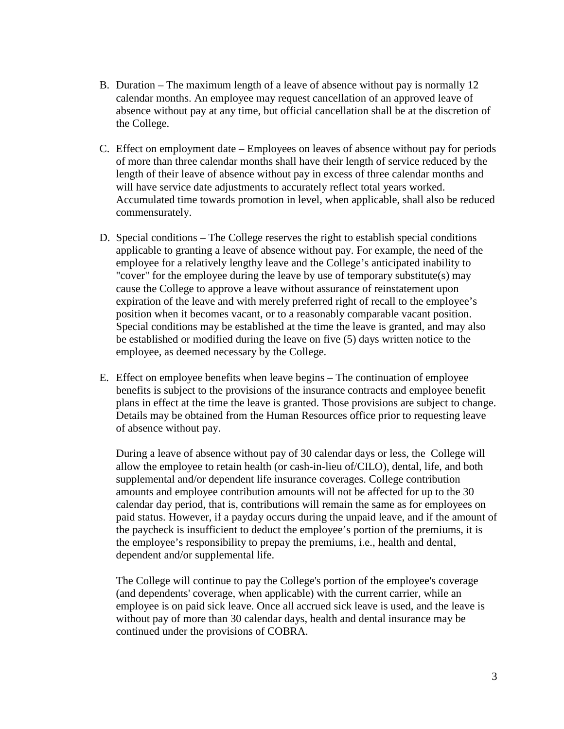- B. Duration The maximum length of a leave of absence without pay is normally 12 calendar months. An employee may request cancellation of an approved leave of absence without pay at any time, but official cancellation shall be at the discretion of the College.
- C. Effect on employment date Employees on leaves of absence without pay for periods of more than three calendar months shall have their length of service reduced by the length of their leave of absence without pay in excess of three calendar months and will have service date adjustments to accurately reflect total years worked. Accumulated time towards promotion in level, when applicable, shall also be reduced commensurately.
- D. Special conditions The College reserves the right to establish special conditions applicable to granting a leave of absence without pay. For example, the need of the employee for a relatively lengthy leave and the College's anticipated inability to "cover" for the employee during the leave by use of temporary substitute(s) may cause the College to approve a leave without assurance of reinstatement upon expiration of the leave and with merely preferred right of recall to the employee's position when it becomes vacant, or to a reasonably comparable vacant position. Special conditions may be established at the time the leave is granted, and may also be established or modified during the leave on five (5) days written notice to the employee, as deemed necessary by the College.
- E. Effect on employee benefits when leave begins The continuation of employee benefits is subject to the provisions of the insurance contracts and employee benefit plans in effect at the time the leave is granted. Those provisions are subject to change. Details may be obtained from the Human Resources office prior to requesting leave of absence without pay.

During a leave of absence without pay of 30 calendar days or less, the College will allow the employee to retain health (or cash-in-lieu of/CILO), dental, life, and both supplemental and/or dependent life insurance coverages. College contribution amounts and employee contribution amounts will not be affected for up to the 30 calendar day period, that is, contributions will remain the same as for employees on paid status. However, if a payday occurs during the unpaid leave, and if the amount of the paycheck is insufficient to deduct the employee's portion of the premiums, it is the employee's responsibility to prepay the premiums, i.e., health and dental, dependent and/or supplemental life.

The College will continue to pay the College's portion of the employee's coverage (and dependents' coverage, when applicable) with the current carrier, while an employee is on paid sick leave. Once all accrued sick leave is used, and the leave is without pay of more than 30 calendar days, health and dental insurance may be continued under the provisions of COBRA.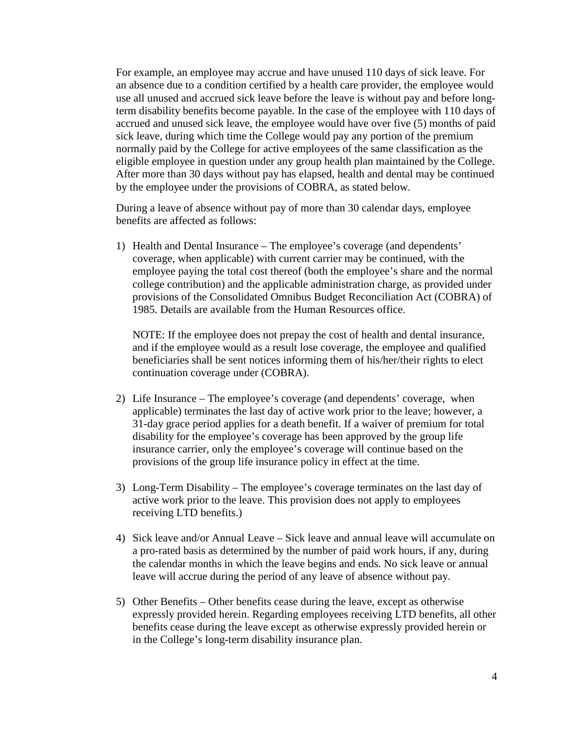For example, an employee may accrue and have unused 110 days of sick leave. For an absence due to a condition certified by a health care provider, the employee would use all unused and accrued sick leave before the leave is without pay and before longterm disability benefits become payable. In the case of the employee with 110 days of accrued and unused sick leave, the employee would have over five (5) months of paid sick leave, during which time the College would pay any portion of the premium normally paid by the College for active employees of the same classification as the eligible employee in question under any group health plan maintained by the College. After more than 30 days without pay has elapsed, health and dental may be continued by the employee under the provisions of COBRA, as stated below.

During a leave of absence without pay of more than 30 calendar days, employee benefits are affected as follows:

1) Health and Dental Insurance – The employee's coverage (and dependents' coverage, when applicable) with current carrier may be continued, with the employee paying the total cost thereof (both the employee's share and the normal college contribution) and the applicable administration charge, as provided under provisions of the Consolidated Omnibus Budget Reconciliation Act (COBRA) of 1985. Details are available from the Human Resources office.

NOTE: If the employee does not prepay the cost of health and dental insurance, and if the employee would as a result lose coverage, the employee and qualified beneficiaries shall be sent notices informing them of his/her/their rights to elect continuation coverage under (COBRA).

- 2) Life Insurance The employee's coverage (and dependents' coverage, when applicable) terminates the last day of active work prior to the leave; however, a 31-day grace period applies for a death benefit. If a waiver of premium for total disability for the employee's coverage has been approved by the group life insurance carrier, only the employee's coverage will continue based on the provisions of the group life insurance policy in effect at the time.
- 3) Long-Term Disability The employee's coverage terminates on the last day of active work prior to the leave. This provision does not apply to employees receiving LTD benefits.)
- 4) Sick leave and/or Annual Leave Sick leave and annual leave will accumulate on a pro-rated basis as determined by the number of paid work hours, if any, during the calendar months in which the leave begins and ends. No sick leave or annual leave will accrue during the period of any leave of absence without pay.
- 5) Other Benefits Other benefits cease during the leave, except as otherwise expressly provided herein. Regarding employees receiving LTD benefits, all other benefits cease during the leave except as otherwise expressly provided herein or in the College's long-term disability insurance plan.